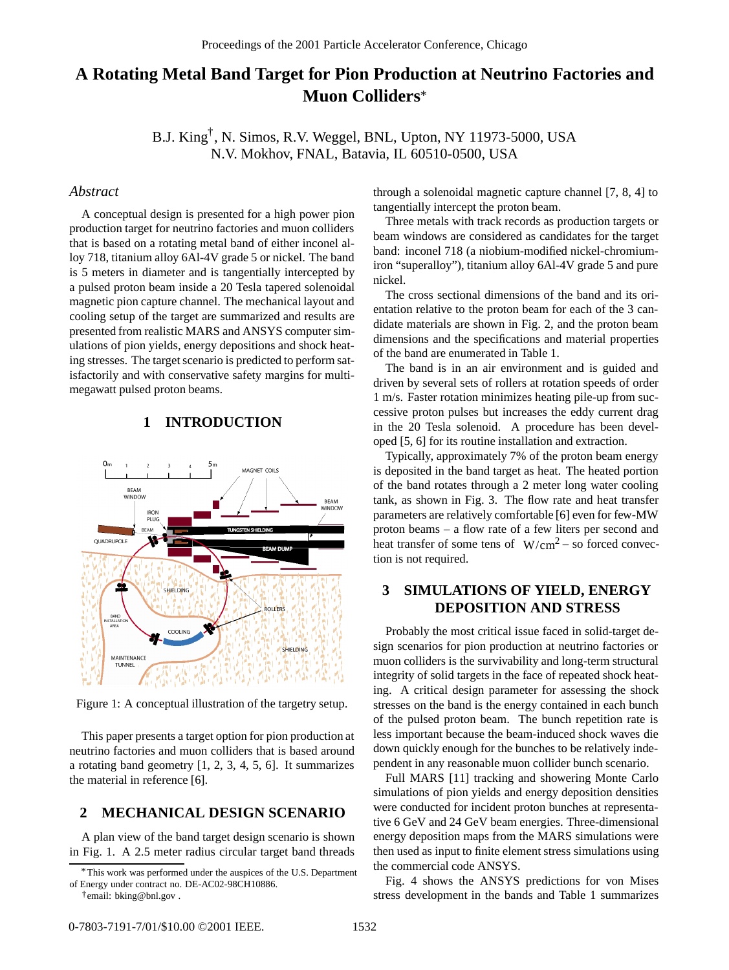# **A Rotating Metal Band Target for Pion Production at Neutrino Factories and Muon Colliders** \*

B.J. King<sup>†</sup>, N. Simos, R.V. Weggel, BNL, Upton, NY 11973-5000, USA N.V. Mokhov, FNAL, Batavia, IL 60510-0500, USA

### *Abstract*

A conceptual design is presented for a high power pion production target for neutrino factories and muon colliders that is based on a rotating metal band of either inconel alloy 718, titanium alloy 6Al-4V grade 5 or nickel. The band is 5 meters in diameter and is tangentially intercepted by a pulsed proton beam inside a 20 Tesla tapered solenoidal magnetic pion capture channel. The mechanical layout and cooling setup of the target are summarized and results are presented from realistic MARS and ANSYS computer simulations of pion yields, energy depositions and shock heating stresses. The target scenario is predicted to perform satisfactorily and with conservative safety margins for multimegawatt pulsed proton beams.

#### **1 INTRODUCTION**



Figure 1: A conceptual illustration of the targetry setup.

This paper presents a target option for pion production at neutrino factories and muon colliders that is based around a rotating band geometry [1, 2, 3, 4, 5, 6]. It summarizes the material in reference [6].

## **2 MECHANICAL DESIGN SCENARIO**

A plan view of the band target design scenario is shown in Fig. 1. A 2.5 meter radius circular target band threads

through a solenoidal magnetic capture channel [7, 8, 4] to tangentially intercept the proton beam.

Three metals with track records as production targets or beam windows are considered as candidates for the target band: inconel 718 (a niobium-modified nickel-chromiumiron "superalloy"), titanium alloy 6Al-4V grade 5 and pure nickel.

The cross sectional dimensions of the band and its orientation relative to the proton beam for each of the 3 candidate materials are shown in Fig. 2, and the proton beam dimensions and the specifications and material properties of the band are enumerated in Table 1.

The band is in an air environment and is guided and driven by several sets of rollers at rotation speeds of order 1 m/s. Faster rotation minimizes heating pile-up from successive proton pulses but increases the eddy current drag in the 20 Tesla solenoid. A procedure has been developed [5, 6] for its routine installation and extraction.

Typically, approximately 7% of the proton beam energy is deposited in the band target as heat. The heated portion of the band rotates through a 2 meter long water cooling tank, as shown in Fig. 3. The flow rate and heat transfer parameters are relatively comfortable [6] even for few-MW proton beams – a flow rate of a few liters per second and heat transfer of some tens of  $W/cm^2 - so$  forced convection is not required.

## **3 SIMULATIONS OF YIELD, ENERGY DEPOSITION AND STRESS**

Probably the most critical issue faced in solid-target design scenarios for pion production at neutrino factories or muon colliders is the survivability and long-term structural integrity of solid targets in the face of repeated shock heating. A critical design parameter for assessing the shock stresses on the band is the energy contained in each bunch of the pulsed proton beam. The bunch repetition rate is less important because the beam-induced shock waves die down quickly enough for the bunches to be relatively independent in any reasonable muon collider bunch scenario.

Full MARS [11] tracking and showering Monte Carlo simulations of pion yields and energy deposition densities were conducted for incident proton bunches at representative 6 GeV and 24 GeV beam energies. Three-dimensional energy deposition maps from the MARS simulations were then used as input to finite element stress simulations using the commercial code ANSYS.

Fig. 4 shows the ANSYS predictions for von Mises stress development in the bands and Table 1 summarizes

This work was performed under the auspices of the U.S. Department \* of Energy under contract no. DE-AC02-98CH10886.

email: bking@bnl.gov . †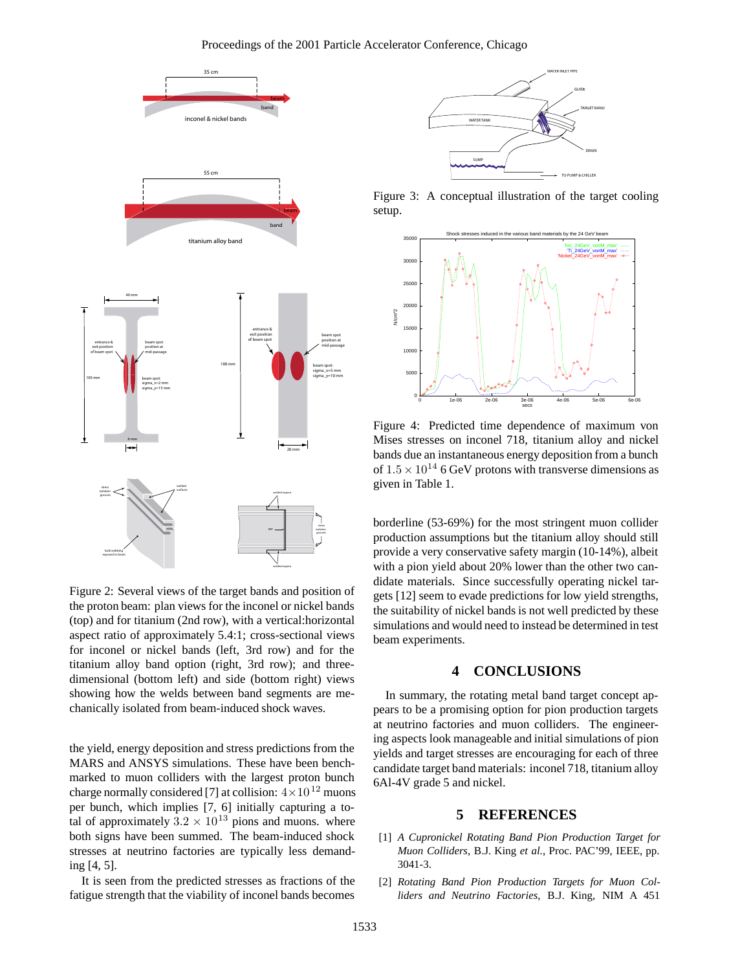

Figure 2: Several views of the target bands and position of the proton beam: plan views for the inconel or nickel bands (top) and for titanium (2nd row), with a vertical:horizontal aspect ratio of approximately 5.4:1; cross-sectional views for inconel or nickel bands (left, 3rd row) and for the titanium alloy band option (right, 3rd row); and threedimensional (bottom left) and side (bottom right) views showing how the welds between band segments are mechanically isolated from beam-induced shock waves.

the yield, energy deposition and stress predictions from the MARS and ANSYS simulations. These have been benchmarked to muon colliders with the largest proton bunch charge normally considered [7] at collision:  $4 \times 10^{12}$  muons per bunch, which implies [7, 6] initially capturing a total of approximately  $3.2 \times 10^{13}$  pions and muons. where both signs have been summed. The beam-induced shock stresses at neutrino factories are typically less demanding [4, 5].

It is seen from the predicted stresses as fractions of the fatigue strength that the viability of inconel bands becomes



Figure 3: A conceptual illustration of the target cooling setup.



Figure 4: Predicted time dependence of maximum von Mises stresses on inconel 718, titanium alloy and nickel bands due an instantaneous energy deposition from a bunch of  $1.5 \times 10^{14}$  6 GeV protons with transverse dimensions as given in Table 1.

borderline (53-69%) for the most stringent muon collider production assumptions but the titanium alloy should still provide a very conservative safety margin (10-14%), albeit with a pion yield about 20% lower than the other two candidate materials. Since successfully operating nickel targets [12] seem to evade predictions for low yield strengths, the suitability of nickel bands is not well predicted by these simulations and would need to instead be determined in test beam experiments.

#### **4 CONCLUSIONS**

In summary, the rotating metal band target concept appears to be a promising option for pion production targets at neutrino factories and muon colliders. The engineering aspects look manageable and initial simulations of pion yields and target stresses are encouraging for each of three candidate target band materials: inconel 718, titanium alloy 6Al-4V grade 5 and nickel.

## **5 REFERENCES**

- [1] *A Cupronickel Rotating Band Pion Production Target for Muon Colliders*, B.J. King *et al.*, Proc. PAC'99, IEEE, pp. 3041-3.
- [2] *Rotating Band Pion Production Targets for Muon Colliders and Neutrino Factories*, B.J. King, NIM A 451